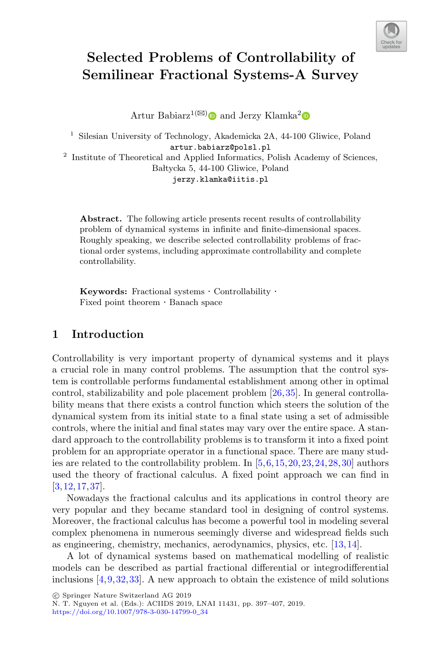

# **Selected Problems of Controllability of Semilinear Fractional Systems-A Survey**

Artur Babiarz<sup>1( $\boxtimes$ [\)](http://orcid.org/0000-0002-7841-7151)</sup> and Jerzy Klamka<sup>[2](http://orcid.org/0000-0003-1574-9826)</sup>

<sup>1</sup> Silesian University of Technology, Akademicka 2A, 44-100 Gliwice, Poland artur.babiarz@polsl.pl

<sup>2</sup> Institute of Theoretical and Applied Informatics, Polish Academy of Sciences, Bałtycka 5, 44-100 Gliwice, Poland jerzy.klamka@iitis.pl

**Abstract.** The following article presents recent results of controllability problem of dynamical systems in infinite and finite-dimensional spaces. Roughly speaking, we describe selected controllability problems of fractional order systems, including approximate controllability and complete controllability.

**Keywords:** Fractional systems  $\cdot$  Controllability  $\cdot$  Fixed point theorem  $\cdot$  Banach space

## **1 Introduction**

Controllability is very important property of dynamical systems and it plays a crucial role in many control problems. The assumption that the control system is controllable performs fundamental establishment among other in optimal control, stabilizability and pole placement problem [\[26](#page-9-0)[,35](#page-10-0)]. In general controllability means that there exists a control function which steers the solution of the dynamical system from its initial state to a final state using a set of admissible controls, where the initial and final states may vary over the entire space. A standard approach to the controllability problems is to transform it into a fixed point problem for an appropriate operator in a functional space. There are many studies are related to the controllability problem. In [\[5,](#page-8-0)[6,](#page-8-1)[15](#page-9-1)[,20](#page-9-2),[23,](#page-9-3)[24](#page-9-4)[,28](#page-9-5),[30\]](#page-9-6) authors used the theory of fractional calculus. A fixed point approach we can find in [\[3](#page-8-2)[,12](#page-9-7),[17,](#page-9-8)[37](#page-10-1)].

Nowadays the fractional calculus and its applications in control theory are very popular and they became standard tool in designing of control systems. Moreover, the fractional calculus has become a powerful tool in modeling several complex phenomena in numerous seemingly diverse and widespread fields such as engineering, chemistry, mechanics, aerodynamics, physics, etc. [\[13,](#page-9-9)[14\]](#page-9-10).

A lot of dynamical systems based on mathematical modelling of realistic models can be described as partial fractional differential or integrodifferential inclusions  $[4,9,32,33]$  $[4,9,32,33]$  $[4,9,32,33]$  $[4,9,32,33]$  $[4,9,32,33]$ . A new approach to obtain the existence of mild solutions

-c Springer Nature Switzerland AG 2019

N. T. Nguyen et al. (Eds.): ACIIDS 2019, LNAI 11431, pp. 397–407, 2019. [https://doi.org/10.1007/978-3-030-14799-0](https://doi.org/10.1007/978-3-030-14799-0_34)\_34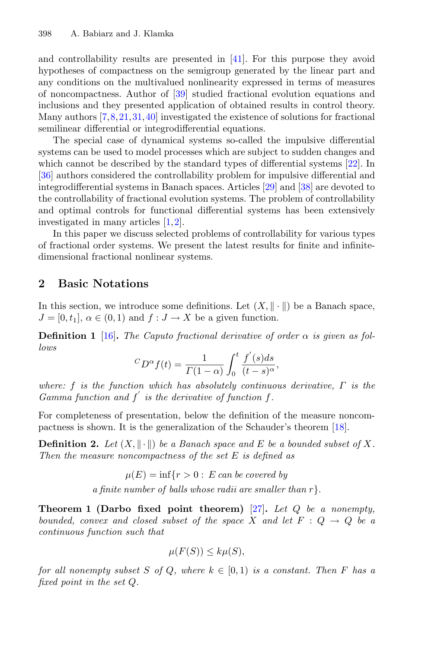and controllability results are presented in [\[41\]](#page-10-4). For this purpose they avoid hypotheses of compactness on the semigroup generated by the linear part and any conditions on the multivalued nonlinearity expressed in terms of measures of noncompactness. Author of [\[39](#page-10-5)] studied fractional evolution equations and inclusions and they presented application of obtained results in control theory. Many authors [\[7,](#page-8-5)[8,](#page-8-6)[21](#page-9-11)[,31,](#page-10-6)[40\]](#page-10-7) investigated the existence of solutions for fractional semilinear differential or integrodifferential equations.

The special case of dynamical systems so-called the impulsive differential systems can be used to model processes which are subject to sudden changes and which cannot be described by the standard types of differential systems [\[22](#page-9-12)]. In [\[36](#page-10-8)] authors considered the controllability problem for impulsive differential and integrodifferential systems in Banach spaces. Articles [\[29](#page-9-13)] and [\[38\]](#page-10-9) are devoted to the controllability of fractional evolution systems. The problem of controllability and optimal controls for functional differential systems has been extensively investigated in many articles [\[1](#page-8-7)[,2](#page-8-8)].

In this paper we discuss selected problems of controllability for various types of fractional order systems. We present the latest results for finite and infinitedimensional fractional nonlinear systems.

### **2 Basic Notations**

In this section, we introduce some definitions. Let  $(X, \|\cdot\|)$  be a Banach space,  $J = [0, t_1], \alpha \in (0, 1)$  and  $f : J \to X$  be a given function.

**Definition 1** [\[16](#page-9-14)]. *The Caputo fractional derivative of order*  $\alpha$  *is given as follows*

$$
{}^{C}D^{\alpha}f(t) = \frac{1}{\Gamma(1-\alpha)} \int_0^t \frac{f'(s)ds}{(t-s)^{\alpha}},
$$

*where:* f *is the function which has absolutely continuous derivative,* Γ *is the* Gamma function and  $f'$  is the derivative of function  $f$ .

For completeness of presentation, below the definition of the measure noncompactness is shown. It is the generalization of the Schauder's theorem [\[18\]](#page-9-15).

**Definition 2.** Let  $(X, \|\cdot\|)$  be a Banach space and E be a bounded subset of X. *Then the measure noncompactness of the set* E *is defined as*

> $\mu(E) = \inf\{r > 0 : E \text{ can be covered by }\}$ *a finite number of balls whose radii are smaller than r*}.

**Theorem 1 (Darbo fixed point theorem)** [\[27](#page-9-16)]**.** *Let* Q *be a nonempty, bounded, convex and closed subset of the space* X and let  $F: Q \rightarrow Q$  be a *continuous function such that*

$$
\mu(F(S)) \leq k\mu(S),
$$

*for all nonempty subset* S *of* Q, where  $k \in [0, 1)$  *is a constant. Then* F *has a fixed point in the set* Q*.*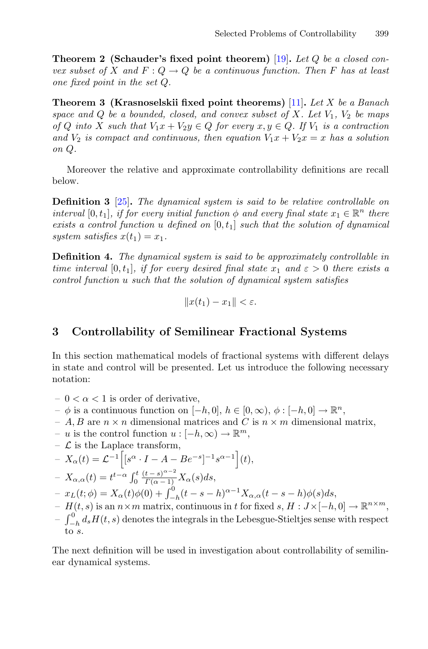**Theorem 2 (Schauder's fixed point theorem)** [\[19\]](#page-9-17)**.** *Let* Q *be a closed convex subset of* X and  $F: Q \to Q$  *be a continuous function. Then* F has at least *one fixed point in the set* Q*.*

**Theorem 3 (Krasnoselskii fixed point theorems)** [\[11](#page-9-18)]**.** *Let* X *be a Banach space and*  $Q$  *be a bounded, closed, and convex subset of*  $X$ *. Let*  $V_1$ *,*  $V_2$  *be maps of* Q *into* X *such that*  $V_1x + V_2y \in Q$  *for every*  $x, y \in Q$ . If  $V_1$  *is a contraction* and  $V_2$  *is compact and continuous, then equation*  $V_1x + V_2x = x$  *has a solution on* Q*.*

Moreover the relative and approximate controllability definitions are recall below.

**Definition 3** [\[25](#page-9-19)]**.** *The dynamical system is said to be relative controllable on interval* [0, t<sub>1</sub>], *if for every initial function*  $\phi$  *and every final state*  $x_1 \in \mathbb{R}^n$  *there exists a control function* u defined on  $[0, t_1]$  *such that the solution of dynamical system satisfies*  $x(t_1) = x_1$ .

**Definition 4.** *The dynamical system is said to be approximately controllable in time interval* [0, t<sub>1</sub>], *if for every desired final state*  $x_1$  *and*  $\varepsilon > 0$  *there exists a control function* u *such that the solution of dynamical system satisfies*

$$
||x(t_1)-x_1|| < \varepsilon.
$$

## **3 Controllability of Semilinear Fractional Systems**

In this section mathematical models of fractional systems with different delays in state and control will be presented. Let us introduce the following necessary notation:

- $0 < \alpha < 1$  is order of derivative,
- $-$  φ is a continuous function on  $[-h, 0], h ∈ [0, ∞), φ : [-h, 0] \rightarrow \mathbb{R}^n$ ,
- A, B are  $n \times n$  dimensional matrices and C is  $n \times m$  dimensional matrix,
- u is the control function  $u: [-h, \infty) \to \mathbb{R}^m$ ,
- $\mathcal L$  is the Laplace transform,

$$
-X_{\alpha}(t) = \mathcal{L}^{-1}\Big[[s^{\alpha} \cdot I - A - Be^{-s}]^{-1} s^{\alpha-1}\Big](t),
$$

$$
-X_{\alpha,\alpha}(t) = t^{t-\alpha} \int_0^t \frac{(t-s)^{\alpha-2}}{\Gamma(\alpha-1)} X_{\alpha}(s) ds,
$$

 $- x_L(t; \phi) = X_\alpha(t) \phi(0) + \int_{-h}^0 (t - s - h)^{\alpha - 1} X_{\alpha, \alpha}(t - s - h) \phi(s) ds,$ 

- $H(t, s)$  is an  $n \times m$  matrix, continuous in t for fixed s,  $H: J \times [-h, 0] \to \mathbb{R}^{n \times m}$ ,
- $-\int_{-h}^{0} d_s H(t, s)$  denotes the integrals in the Lebesgue-Stieltjes sense with respect to s.

The next definition will be used in investigation about controllability of semilinear dynamical systems.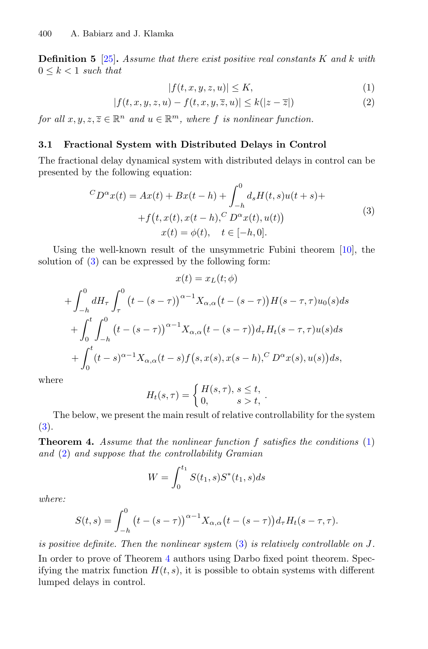**Definition 5** [\[25](#page-9-19)]**.** *Assume that there exist positive real constants* K *and* k *with*  $0 \leq k \leq 1$  *such that* 

<span id="page-3-1"></span>
$$
|f(t, x, y, z, u)| \le K,\tag{1}
$$

$$
|f(t, x, y, z, u) - f(t, x, y, \overline{z}, u)| \le k(|z - \overline{z}|)
$$
 (2)

*for all*  $x, y, z, \overline{z} \in \mathbb{R}^n$  *and*  $u \in \mathbb{R}^m$ *, where f is nonlinear function.* 

#### **3.1 Fractional System with Distributed Delays in Control**

The fractional delay dynamical system with distributed delays in control can be presented by the following equation:

<span id="page-3-0"></span>
$$
{}^{C}D^{\alpha}x(t) = Ax(t) + Bx(t-h) + \int_{-h}^{0} d_{s}H(t,s)u(t+s) ++f(t,x(t),x(t-h),{}^{C}D^{\alpha}x(t),u(t))x(t) = \phi(t), \quad t \in [-h,0].
$$
\n(3)

Using the well-known result of the unsymmetric Fubini theorem [\[10](#page-9-20)], the solution of [\(3\)](#page-3-0) can be expressed by the following form:

$$
x(t) = x_L(t; \phi)
$$
  
+  $\int_{-h}^{0} dH_{\tau} \int_{\tau}^{0} (t - (s - \tau))^{\alpha - 1} X_{\alpha, \alpha} (t - (s - \tau)) H(s - \tau, \tau) u_0(s) ds$   
+  $\int_{0}^{t} \int_{-h}^{0} (t - (s - \tau))^{\alpha - 1} X_{\alpha, \alpha} (t - (s - \tau)) d_{\tau} H_t(s - \tau, \tau) u(s) ds$   
+  $\int_{0}^{t} (t - s)^{\alpha - 1} X_{\alpha, \alpha} (t - s) f(s, x(s), x(s - h),^C D^{\alpha} x(s), u(s)) ds,$ 

where

$$
H_t(s,\tau) = \begin{cases} H(s,\tau),\, s \leq t, \\ 0, \quad s > t, \end{cases}.
$$

<span id="page-3-2"></span>The below, we present the main result of relative controllability for the system [\(3\)](#page-3-0).

**Theorem 4.** *Assume that the nonlinear function* f *satisfies the conditions* [\(1\)](#page-3-1) *and* [\(2\)](#page-3-1) *and suppose that the controllability Gramian*

$$
W = \int_0^{t_1} S(t_1, s) S^*(t_1, s) ds
$$

*where:*

$$
S(t,s) = \int_{-h}^{0} (t - (s - \tau))\alpha^{-1} X_{\alpha,\alpha}(t - (s - \tau)) d_{\tau} H_t(s - \tau, \tau).
$$

*is positive definite. Then the nonlinear system* [\(3\)](#page-3-0) *is relatively controllable on* J*.*

In order to prove of Theorem [4](#page-3-2) authors using Darbo fixed point theorem. Specifying the matrix function  $H(t, s)$ , it is possible to obtain systems with different lumped delays in control.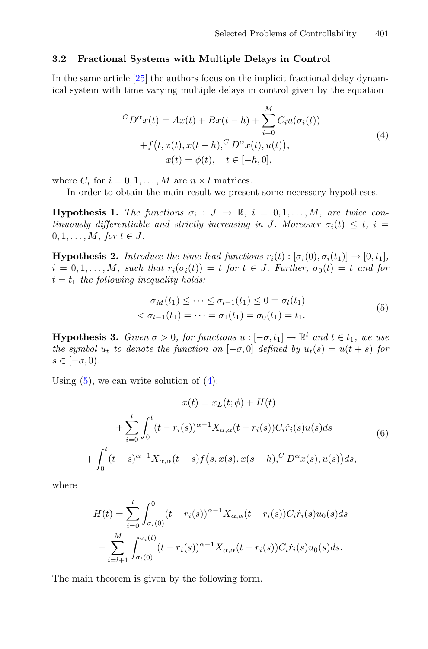#### **3.2 Fractional Systems with Multiple Delays in Control**

In the same article [\[25\]](#page-9-19) the authors focus on the implicit fractional delay dynamical system with time varying multiple delays in control given by the equation

<span id="page-4-1"></span>
$$
{}^{C}D^{\alpha}x(t) = Ax(t) + Bx(t-h) + \sum_{i=0}^{M} C_i u(\sigma_i(t))
$$
  
+  $f(t, x(t), x(t-h), {}^{C}D^{\alpha}x(t), u(t)),$   
 $x(t) = \phi(t), \quad t \in [-h, 0],$  (4)

<span id="page-4-2"></span>where  $C_i$  for  $i = 0, 1, \ldots, M$  are  $n \times l$  matrices.

In order to obtain the main result we present some necessary hypotheses.

**Hypothesis 1.** *The functions*  $\sigma_i$  :  $J \to \mathbb{R}$ ,  $i = 0, 1, \ldots, M$ , are twice con*tinuously differentiable and strictly increasing in* J. Moreover  $\sigma_i(t) \leq t$ ,  $i =$  $0, 1, \ldots, M,$  for  $t \in J$ .

**Hypothesis 2.** *Introduce the time lead functions*  $r_i(t): [\sigma_i(0), \sigma_i(t_1)] \rightarrow [0, t_1]$ *,*  $i = 0, 1, \ldots, M$ , such that  $r_i(\sigma_i(t)) = t$  for  $t \in J$ . Further,  $\sigma_0(t) = t$  and for  $t = t_1$  the following inequality holds:

<span id="page-4-0"></span>
$$
\sigma_M(t_1) \le \dots \le \sigma_{l+1}(t_1) \le 0 = \sigma_l(t_1)
$$
  

$$
< \sigma_{l-1}(t_1) = \dots = \sigma_1(t_1) = \sigma_0(t_1) = t_1.
$$
 (5)

<span id="page-4-3"></span>**Hypothesis 3.** *Given*  $\sigma > 0$ *, for functions*  $u : [-\sigma, t_1] \to \mathbb{R}^l$  *and*  $t \in t_1$ *, we use the symbol*  $u_t$  *to denote the function on*  $[-\sigma, 0]$  *defined by*  $u_t(s) = u(t+s)$  *for*  $s \in [-\sigma, 0)$ .

Using  $(5)$ , we can write solution of  $(4)$ :

$$
x(t) = x_L(t; \phi) + H(t)
$$
  
+ 
$$
\sum_{i=0}^{l} \int_0^t (t - r_i(s))^{\alpha - 1} X_{\alpha, \alpha}(t - r_i(s)) C_i \dot{r}_i(s) u(s) ds
$$
  
+ 
$$
\int_0^t (t - s)^{\alpha - 1} X_{\alpha, \alpha}(t - s) f(s, x(s), x(s - h), C D^{\alpha} x(s), u(s)) ds,
$$
(6)

where

$$
H(t) = \sum_{i=0}^{l} \int_{\sigma_i(0)}^{0} (t - r_i(s))^{\alpha - 1} X_{\alpha, \alpha}(t - r_i(s)) C_i \dot{r}_i(s) u_0(s) ds
$$
  
+ 
$$
\sum_{i=l+1}^{M} \int_{\sigma_i(0)}^{\sigma_i(t)} (t - r_i(s))^{\alpha - 1} X_{\alpha, \alpha}(t - r_i(s)) C_i \dot{r}_i(s) u_0(s) ds.
$$

The main theorem is given by the following form.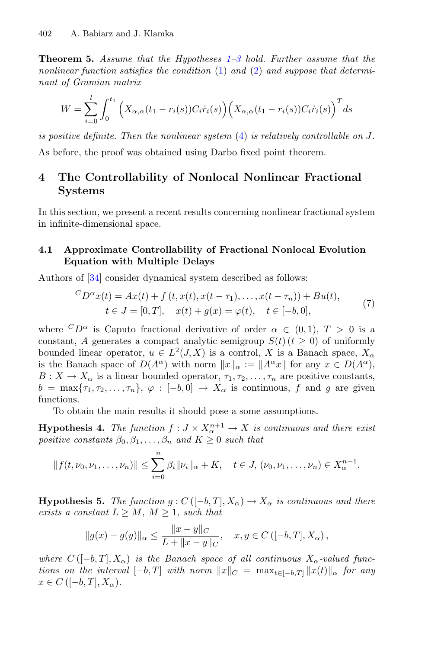**Theorem 5.** *Assume that the Hypotheses [1](#page-4-2)[–3](#page-4-3) hold. Further assume that the nonlinear function satisfies the condition* [\(1\)](#page-3-1) *and* [\(2\)](#page-3-1) *and suppose that determinant of Gramian matrix*

$$
W = \sum_{i=0}^{l} \int_0^{t_1} \left( X_{\alpha,\alpha}(t_1 - r_i(s)) C_i \dot{r}_i(s) \right) \left( X_{\alpha,\alpha}(t_1 - r_i(s)) C_i \dot{r}_i(s) \right)^T ds
$$

*is positive definite. Then the nonlinear system* [\(4\)](#page-4-1) *is relatively controllable on* J*.*

As before, the proof was obtained using Darbo fixed point theorem.

# **4 The Controllability of Nonlocal Nonlinear Fractional Systems**

In this section, we present a recent results concerning nonlinear fractional system in infinite-dimensional space.

### **4.1 Approximate Controllability of Fractional Nonlocal Evolution Equation with Multiple Delays**

Authors of [\[34](#page-10-10)] consider dynamical system described as follows:

<span id="page-5-1"></span>
$$
{}^{C}D^{\alpha}x(t) = Ax(t) + f(t, x(t), x(t - \tau_1), \dots, x(t - \tau_n)) + Bu(t),
$$
  
\n
$$
t \in J = [0, T], \quad x(t) + g(x) = \varphi(t), \quad t \in [-b, 0],
$$
 (7)

where  ${}^C D^{\alpha}$  is Caputo fractional derivative of order  $\alpha \in (0,1), T > 0$  is a constant, A generates a compact analytic semigroup  $S(t)$  ( $t \geq 0$ ) of uniformly bounded linear operator,  $u \in L^2(J, X)$  is a control, X is a Banach space,  $X_\alpha$ is the Banach space of  $D(A^{\alpha})$  with norm  $||x||_{\alpha} := ||A^{\alpha}x||$  for any  $x \in D(A^{\alpha})$ ,  $B: X \to X_{\alpha}$  is a linear bounded operator,  $\tau_1, \tau_2, \ldots, \tau_n$  are positive constants,  $b = \max\{\tau_1, \tau_2, \ldots, \tau_n\}, \varphi : [-b, 0] \to X_\alpha$  is continuous, f and g are given functions.

To obtain the main results it should pose a some assumptions.

<span id="page-5-0"></span>**Hypothesis 4.** *The function*  $f: J \times X_{\alpha}^{n+1} \to X$  *is continuous and there exist positive constants*  $\beta_0, \beta_1, \ldots, \beta_n$  *and*  $K \geq 0$  *such that* 

$$
|| f(t, \nu_0, \nu_1, \dots, \nu_n) || \leq \sum_{i=0}^n \beta_i ||\nu_i||_{\alpha} + K, \quad t \in J, (\nu_0, \nu_1, \dots, \nu_n) \in X_{\alpha}^{n+1}.
$$

**Hypothesis 5.** *The function*  $g: C([-b,T], X_\alpha) \to X_\alpha$  *is continuous and there exists a constant*  $L \geq M$ *,*  $M \geq 1$ *, such that* 

$$
||g(x) - g(y)||_{\alpha} \le \frac{||x - y||_{C}}{L + ||x - y||_{C}}, \quad x, y \in C ([-b, T], X_{\alpha}),
$$

*where*  $C([-b,T], X_\alpha)$  *is the Banach space of all continuous*  $X_\alpha$ -valued func*tions on the interval*  $[-b, T]$  *with norm*  $||x||_C = \max_{t \in [-b, T]} ||x(t)||_{\alpha}$  *for any*  $x \in C \left( [-b, T], X_{\alpha} \right)$ .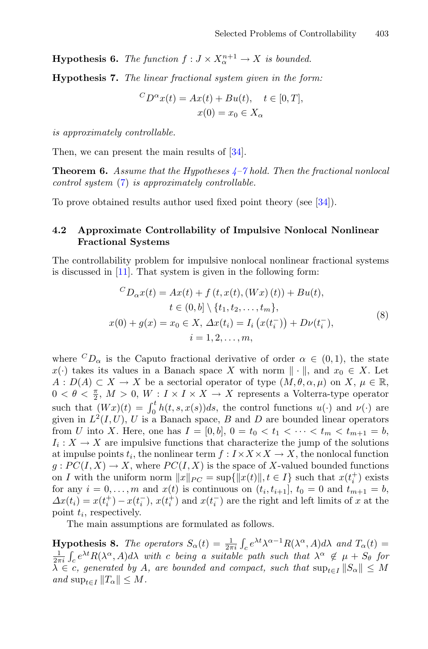<span id="page-6-0"></span>**Hypothesis 6.** *The function*  $f: J \times X_{\alpha}^{n+1} \to X$  *is bounded.* 

**Hypothesis 7.** *The linear fractional system given in the form:*

$$
{}^{C}D^{\alpha}x(t) = Ax(t) + Bu(t), \quad t \in [0, T],
$$
  

$$
x(0) = x_0 \in X_{\alpha}
$$

*is approximately controllable.*

Then, we can present the main results of  $[34]$ .

**Theorem 6.** *Assume that the Hypotheses [4](#page-5-0)[–7](#page-6-0) hold. Then the fractional nonlocal control system* [\(7\)](#page-5-1) *is approximately controllable.*

To prove obtained results author used fixed point theory (see [\[34\]](#page-10-10)).

#### **4.2 Approximate Controllability of Impulsive Nonlocal Nonlinear Fractional Systems**

The controllability problem for impulsive nonlocal nonlinear fractional systems is discussed in [\[11](#page-9-18)]. That system is given in the following form:

<span id="page-6-2"></span>
$$
{}^{C}D_{\alpha}x(t) = Ax(t) + f(t, x(t), (Wx)(t)) + Bu(t),
$$
  
\n
$$
t \in (0, b] \setminus \{t_1, t_2, ..., t_m\},
$$
  
\n
$$
x(0) + g(x) = x_0 \in X, \ \Delta x(t_i) = I_i(x(t_i^-)) + D\nu(t_i^-),
$$
  
\n
$$
i = 1, 2, ..., m,
$$
\n(8)

where  ${}^C D_{\alpha}$  is the Caputo fractional derivative of order  $\alpha \in (0,1)$ , the state  $x(\cdot)$  takes its values in a Banach space X with norm  $\|\cdot\|$ , and  $x_0 \in X$ . Let  $A: D(A) \subset X \to X$  be a sectorial operator of type  $(M, \theta, \alpha, \mu)$  on X,  $\mu \in \mathbb{R}$ ,  $0 < \theta < \frac{\pi}{2}$ ,  $M > 0$ ,  $W : I \times I \times X \to X$  represents a Volterra-type operator such that  $(Wx)(t) = \int_0^t h(t, s, x(s))ds$ , the control functions  $u(\cdot)$  and  $\nu(\cdot)$  are given in  $L^2(I, U)$ , U is a Banach space, B and D are bounded linear operators from U into X. Here, one has  $I = [0, b]$ ,  $0 = t_0 < t_1 < \cdots < t_m < t_{m+1} = b$ ,  $I_i: X \to X$  are impulsive functions that characterize the jump of the solutions at impulse points  $t_i$ , the nonlinear term  $f: I \times X \times X \to X$ , the nonlocal function  $g: PC(I, X) \to X$ , where  $PC(I, X)$  is the space of X-valued bounded functions on I with the uniform norm  $||x||_{PC} = \sup{||x(t)||, t \in I}$  such that  $x(t_i^+)$  exists for any  $i = 0, \ldots, m$  and  $x(t)$  is continuous on  $(t_i, t_{i+1}], t_0 = 0$  and  $t_{m+1} = b$ ,  $\Delta x(t_i) = x(t_i^+) - x(t_i^-), x(t_i^+)$  and  $x(t_i^-)$  are the right and left limits of x at the point  $t_i$ , respectively.

<span id="page-6-1"></span>The main assumptions are formulated as follows.

**Hypothesis 8.** *The operators*  $S_{\alpha}(t) = \frac{1}{2\pi i} \int_{c}^{t} e^{\lambda t} \lambda^{\alpha-1} R(\lambda^{\alpha}, A) d\lambda$  and  $T_{\alpha}(t) =$  $\frac{1}{2\pi i}\int_{c}e^{\lambda t}R(\lambda^{\alpha},A)d\lambda$  with c being a suitable path such that  $\lambda^{\alpha} \notin \mu + S_{\theta}$  for  $\lambda \in c$ , generated by A, are bounded and compact, such that  $\sup_{t \in I} ||S_{\alpha}|| \leq M$  $and \sup_{t \in I} ||T_{\alpha}|| \leq M.$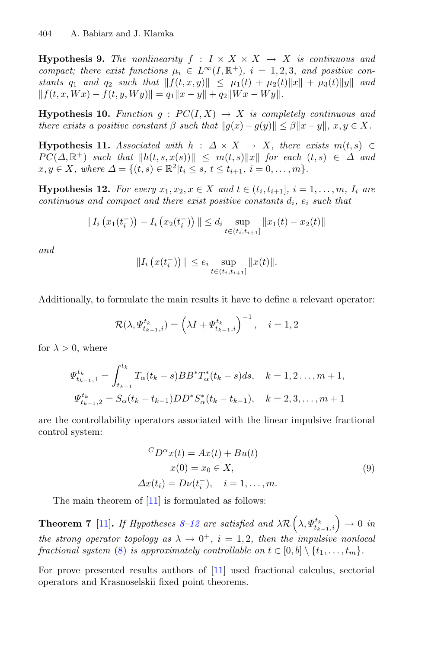**Hypothesis 9.** *The nonlinearity*  $f : I \times X \times X \rightarrow X$  *is continuous and compact; there exist functions*  $\mu_i \in L^{\infty}(I, \mathbb{R}^+), i = 1, 2, 3,$  and positive con*stants*  $q_1$  *and*  $q_2$  *such that*  $||f(t, x, y)|| \leq \mu_1(t) + \mu_2(t)||x|| + \mu_3(t)||y||$  *and*  $|| f(t, x, Wx) - f(t, y, Wy)|| = q_1 ||x - y|| + q_2 ||Wx - Wy||.$ 

**Hypothesis 10.** *Function*  $g : PC(I, X) \rightarrow X$  *is completely continuous and there exists a positive constant*  $\beta$  *such that*  $||g(x) - g(y)|| \leq \beta ||x - y||$ ,  $x, y \in X$ .

**Hypothesis 11.** *Associated with*  $h : \Delta \times X \rightarrow X$ *, there exists*  $m(t, s) \in$  $PC(\Delta, \mathbb{R}^+)$  *such that*  $||h(t, s, x(s))|| \leq m(t, s)||x||$  *for each*  $(t, s) \in \Delta$  *and*  $x, y \in X$ *, where*  $\Delta = \{(t, s) \in \mathbb{R}^2 | t_i \leq s, t \leq t_{i+1}, i = 0, \ldots, m\}.$ 

<span id="page-7-0"></span>**Hypothesis 12.** For every  $x_1, x_2, x \in X$  and  $t \in (t_i, t_{i+1}], i = 1, \ldots, m, I_i$  are *continuous and compact and there exist positive constants*  $d_i$ ,  $e_i$  *such that* 

$$
||I_{i}(x_{1}(t_{i}^{-})) - I_{i}(x_{2}(t_{i}^{-}))|| \leq d_{i} \sup_{t \in (t_{i}, t_{i+1}]} ||x_{1}(t) - x_{2}(t)||
$$

*and*

$$
||I_i(x(t_i^-))|| \le e_i \sup_{t \in (t_i, t_{i+1}]} ||x(t)||.
$$

Additionally, to formulate the main results it have to define a relevant operator:

$$
\mathcal{R}(\lambda, \Psi_{t_{k-1},i}^{t_k}) = \left(\lambda I + \Psi_{t_{k-1},i}^{t_k}\right)^{-1}, \quad i = 1, 2
$$

for  $\lambda > 0$ , where

$$
\Psi_{t_{k-1},1}^{t_k} = \int_{t_{k-1}}^{t_k} T_{\alpha}(t_k - s) BB^* T_{\alpha}^*(t_k - s) ds, \quad k = 1, 2, ..., m+1,
$$
  

$$
\Psi_{t_{k-1},2}^{t_k} = S_{\alpha}(t_k - t_{k-1}) DD^* S_{\alpha}^*(t_k - t_{k-1}), \quad k = 2, 3, ..., m+1
$$

are the controllability operators associated with the linear impulsive fractional control system:

$$
{}^{C}D^{\alpha}x(t) = Ax(t) + Bu(t)
$$
  
\n
$$
x(0) = x_0 \in X,
$$
  
\n
$$
\Delta x(t_i) = D\nu(t_i^-), \quad i = 1, ..., m.
$$
\n(9)

The main theorem of [\[11\]](#page-9-18) is formulated as follows:

**Theorem 7** [\[11](#page-9-18)]. If Hypotheses [8](#page-6-1)[–12](#page-7-0) are satisfied and  $\lambda \mathcal{R} \left( \lambda, \Psi_{t_{k-1},i}^{t_k} \right) \to 0$  in *the strong operator topology as*  $\lambda \rightarrow 0^+$ ,  $i = 1, 2$ , then the impulsive nonlocal *fractional system* [\(8\)](#page-6-2) *is approximately controllable on*  $t \in [0, b] \setminus \{t_1, \ldots, t_m\}$ .

For prove presented results authors of [\[11](#page-9-18)] used fractional calculus, sectorial operators and Krasnoselskii fixed point theorems.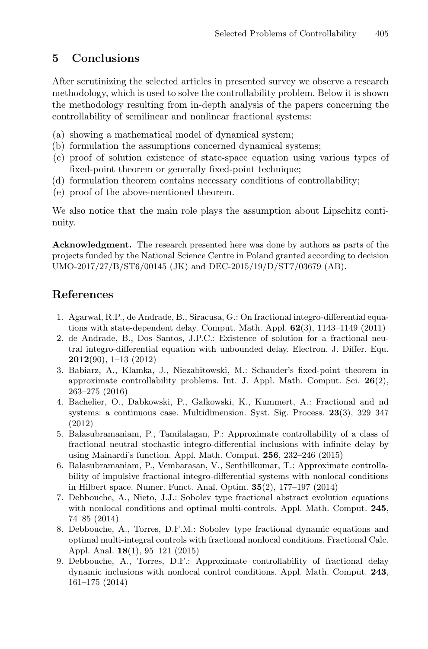# **5 Conclusions**

After scrutinizing the selected articles in presented survey we observe a research methodology, which is used to solve the controllability problem. Below it is shown the methodology resulting from in-depth analysis of the papers concerning the controllability of semilinear and nonlinear fractional systems:

- (a) showing a mathematical model of dynamical system;
- (b) formulation the assumptions concerned dynamical systems;
- (c) proof of solution existence of state-space equation using various types of fixed-point theorem or generally fixed-point technique;
- (d) formulation theorem contains necessary conditions of controllability;
- (e) proof of the above-mentioned theorem.

We also notice that the main role plays the assumption about Lipschitz continuity.

**Acknowledgment.** The research presented here was done by authors as parts of the projects funded by the National Science Centre in Poland granted according to decision UMO-2017/27/B/ST6/00145 (JK) and DEC-2015/19/D/ST7/03679 (AB).

# **References**

- <span id="page-8-7"></span>1. Agarwal, R.P., de Andrade, B., Siracusa, G.: On fractional integro-differential equations with state-dependent delay. Comput. Math. Appl. **62**(3), 1143–1149 (2011)
- <span id="page-8-8"></span>2. de Andrade, B., Dos Santos, J.P.C.: Existence of solution for a fractional neutral integro-differential equation with unbounded delay. Electron. J. Differ. Equ. **2012**(90), 1–13 (2012)
- <span id="page-8-2"></span>3. Babiarz, A., Klamka, J., Niezabitowski, M.: Schauder's fixed-point theorem in approximate controllability problems. Int. J. Appl. Math. Comput. Sci. **26**(2), 263–275 (2016)
- <span id="page-8-3"></span>4. Bachelier, O., Dabkowski, P., Galkowski, K., Kummert, A.: Fractional and nd systems: a continuous case. Multidimension. Syst. Sig. Process. **23**(3), 329–347 (2012)
- <span id="page-8-0"></span>5. Balasubramaniam, P., Tamilalagan, P.: Approximate controllability of a class of fractional neutral stochastic integro-differential inclusions with infinite delay by using Mainardi's function. Appl. Math. Comput. **256**, 232–246 (2015)
- <span id="page-8-1"></span>6. Balasubramaniam, P., Vembarasan, V., Senthilkumar, T.: Approximate controllability of impulsive fractional integro-differential systems with nonlocal conditions in Hilbert space. Numer. Funct. Anal. Optim. **35**(2), 177–197 (2014)
- <span id="page-8-5"></span>7. Debbouche, A., Nieto, J.J.: Sobolev type fractional abstract evolution equations with nonlocal conditions and optimal multi-controls. Appl. Math. Comput. **245**, 74–85 (2014)
- <span id="page-8-6"></span>8. Debbouche, A., Torres, D.F.M.: Sobolev type fractional dynamic equations and optimal multi-integral controls with fractional nonlocal conditions. Fractional Calc. Appl. Anal. **18**(1), 95–121 (2015)
- <span id="page-8-4"></span>9. Debbouche, A., Torres, D.F.: Approximate controllability of fractional delay dynamic inclusions with nonlocal control conditions. Appl. Math. Comput. **243**, 161–175 (2014)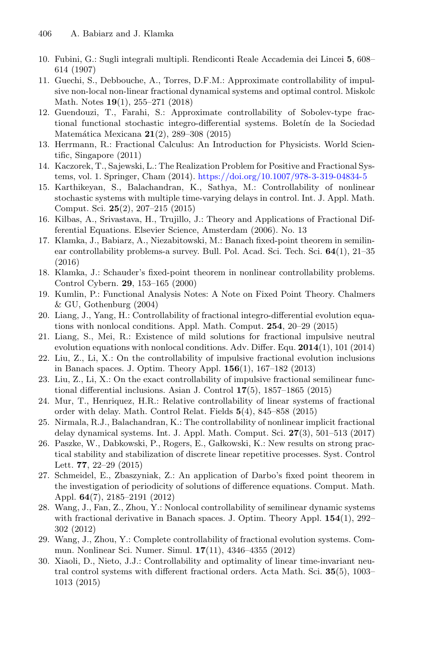- <span id="page-9-20"></span>10. Fubini, G.: Sugli integrali multipli. Rendiconti Reale Accademia dei Lincei **5**, 608– 614 (1907)
- <span id="page-9-18"></span>11. Guechi, S., Debbouche, A., Torres, D.F.M.: Approximate controllability of impulsive non-local non-linear fractional dynamical systems and optimal control. Miskolc Math. Notes **19**(1), 255–271 (2018)
- <span id="page-9-7"></span>12. Guendouzi, T., Farahi, S.: Approximate controllability of Sobolev-type fractional functional stochastic integro-differential systems. Boletin de la Sociedad Matem´atica Mexicana **21**(2), 289–308 (2015)
- <span id="page-9-9"></span>13. Herrmann, R.: Fractional Calculus: An Introduction for Physicists. World Scientific, Singapore (2011)
- <span id="page-9-10"></span>14. Kaczorek, T., Sajewski, L.: The Realization Problem for Positive and Fractional Systems, vol. 1. Springer, Cham (2014). <https://doi.org/10.1007/978-3-319-04834-5>
- <span id="page-9-1"></span>15. Karthikeyan, S., Balachandran, K., Sathya, M.: Controllability of nonlinear stochastic systems with multiple time-varying delays in control. Int. J. Appl. Math. Comput. Sci. **25**(2), 207–215 (2015)
- <span id="page-9-14"></span>16. Kilbas, A., Srivastava, H., Trujillo, J.: Theory and Applications of Fractional Differential Equations. Elsevier Science, Amsterdam (2006). No. 13
- <span id="page-9-8"></span>17. Klamka, J., Babiarz, A., Niezabitowski, M.: Banach fixed-point theorem in semilinear controllability problems-a survey. Bull. Pol. Acad. Sci. Tech. Sci. **64**(1), 21–35 (2016)
- <span id="page-9-15"></span>18. Klamka, J.: Schauder's fixed-point theorem in nonlinear controllability problems. Control Cybern. **29**, 153–165 (2000)
- <span id="page-9-17"></span>19. Kumlin, P.: Functional Analysis Notes: A Note on Fixed Point Theory. Chalmers & GU, Gothenburg (2004)
- <span id="page-9-2"></span>20. Liang, J., Yang, H.: Controllability of fractional integro-differential evolution equations with nonlocal conditions. Appl. Math. Comput. **254**, 20–29 (2015)
- <span id="page-9-11"></span>21. Liang, S., Mei, R.: Existence of mild solutions for fractional impulsive neutral evolution equations with nonlocal conditions. Adv. Differ. Equ. **2014**(1), 101 (2014)
- <span id="page-9-12"></span>22. Liu, Z., Li, X.: On the controllability of impulsive fractional evolution inclusions in Banach spaces. J. Optim. Theory Appl. **156**(1), 167–182 (2013)
- <span id="page-9-3"></span>23. Liu, Z., Li, X.: On the exact controllability of impulsive fractional semilinear functional differential inclusions. Asian J. Control **17**(5), 1857–1865 (2015)
- <span id="page-9-4"></span>24. Mur, T., Henriquez, H.R.: Relative controllability of linear systems of fractional order with delay. Math. Control Relat. Fields **5**(4), 845–858 (2015)
- <span id="page-9-19"></span>25. Nirmala, R.J., Balachandran, K.: The controllability of nonlinear implicit fractional delay dynamical systems. Int. J. Appl. Math. Comput. Sci. **27**(3), 501–513 (2017)
- <span id="page-9-0"></span>26. Paszke, W., Dabkowski, P., Rogers, E., Gałkowski, K.: New results on strong practical stability and stabilization of discrete linear repetitive processes. Syst. Control Lett. **77**, 22–29 (2015)
- <span id="page-9-16"></span>27. Schmeidel, E., Zbaszyniak, Z.: An application of Darbo's fixed point theorem in the investigation of periodicity of solutions of difference equations. Comput. Math. Appl. **64**(7), 2185–2191 (2012)
- <span id="page-9-5"></span>28. Wang, J., Fan, Z., Zhou, Y.: Nonlocal controllability of semilinear dynamic systems with fractional derivative in Banach spaces. J. Optim. Theory Appl. **154**(1), 292– 302 (2012)
- <span id="page-9-13"></span>29. Wang, J., Zhou, Y.: Complete controllability of fractional evolution systems. Commun. Nonlinear Sci. Numer. Simul. **17**(11), 4346–4355 (2012)
- <span id="page-9-6"></span>30. Xiaoli, D., Nieto, J.J.: Controllability and optimality of linear time-invariant neutral control systems with different fractional orders. Acta Math. Sci. **35**(5), 1003– 1013 (2015)